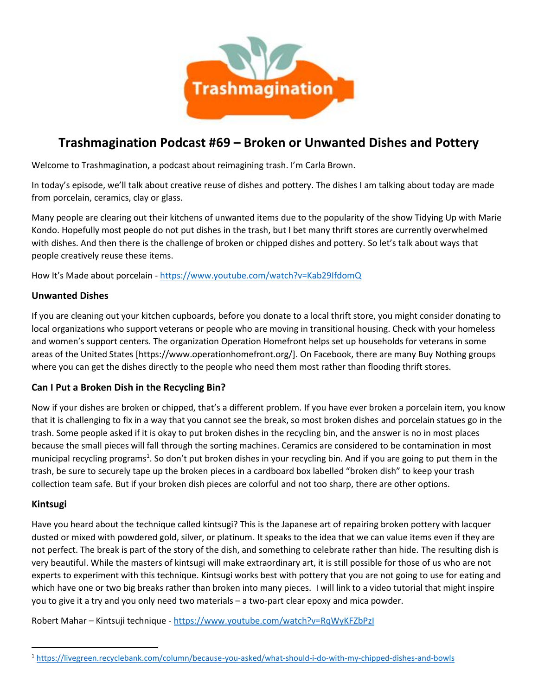

# **Trashmagination Podcast #69 – Broken or Unwanted Dishes and Pottery**

Welcome to Trashmagination, a podcast about reimagining trash. I'm Carla Brown.

In today's episode, we'll talk about creative reuse of dishes and pottery. The dishes I am talking about today are made from porcelain, ceramics, clay or glass.

Many people are clearing out their kitchens of unwanted items due to the popularity of the show Tidying Up with Marie Kondo. Hopefully most people do not put dishes in the trash, but I bet many thrift stores are currently overwhelmed with dishes. And then there is the challenge of broken or chipped dishes and pottery. So let's talk about ways that people creatively reuse these items.

How It's Made about porcelain - https://www.youtube.com/watch?v=Kab29IfdomQ

#### **Unwanted Dishes**

If you are cleaning out your kitchen cupboards, before you donate to a local thrift store, you might consider donating to local organizations who support veterans or people who are moving in transitional housing. Check with your homeless and women's support centers. The organization Operation Homefront helps set up households for veterans in some areas of the United States [https://www.operationhomefront.org/]. On Facebook, there are many Buy Nothing groups where you can get the dishes directly to the people who need them most rather than flooding thrift stores.

#### **Can I Put a Broken Dish in the Recycling Bin?**

Now if your dishes are broken or chipped, that's a different problem. If you have ever broken a porcelain item, you know that it is challenging to fix in a way that you cannot see the break, so most broken dishes and porcelain statues go in the trash. Some people asked if it is okay to put broken dishes in the recycling bin, and the answer is no in most places because the small pieces will fall through the sorting machines. Ceramics are considered to be contamination in most municipal recycling programs<sup>1</sup>. So don't put broken dishes in your recycling bin. And if you are going to put them in the trash, be sure to securely tape up the broken pieces in a cardboard box labelled "broken dish" to keep your trash collection team safe. But if your broken dish pieces are colorful and not too sharp, there are other options.

#### **Kintsugi**

Have you heard about the technique called kintsugi? This is the Japanese art of repairing broken pottery with lacquer dusted or mixed with powdered gold, silver, or platinum. It speaks to the idea that we can value items even if they are not perfect. The break is part of the story of the dish, and something to celebrate rather than hide. The resulting dish is very beautiful. While the masters of kintsugi will make extraordinary art, it is still possible for those of us who are not experts to experiment with this technique. Kintsugi works best with pottery that you are not going to use for eating and which have one or two big breaks rather than broken into many pieces. I will link to a video tutorial that might inspire you to give it a try and you only need two materials – a two-part clear epoxy and mica powder.

Robert Mahar - Kintsuji technique - https://www.youtube.com/watch?v=RqWyKFZbPzI

<sup>1</sup> https://livegreen.recyclebank.com/column/because-you-asked/what-should-i-do-with-my-chipped-dishes-and-bowls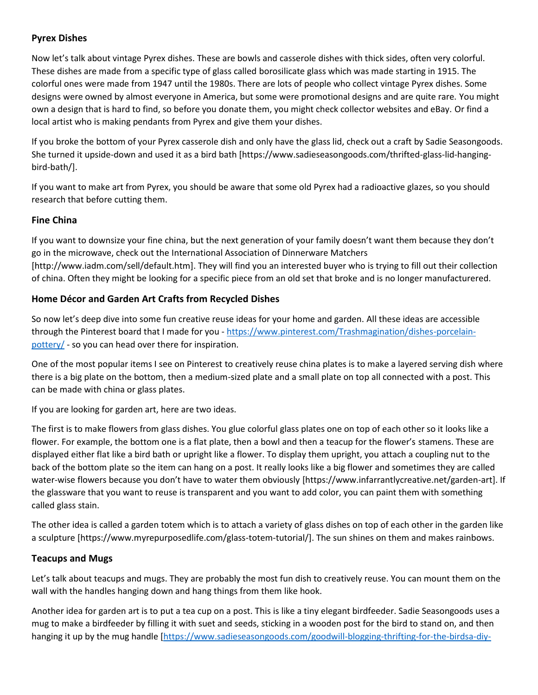### **Pyrex Dishes**

Now let's talk about vintage Pyrex dishes. These are bowls and casserole dishes with thick sides, often very colorful. These dishes are made from a specific type of glass called borosilicate glass which was made starting in 1915. The colorful ones were made from 1947 until the 1980s. There are lots of people who collect vintage Pyrex dishes. Some designs were owned by almost everyone in America, but some were promotional designs and are quite rare. You might own a design that is hard to find, so before you donate them, you might check collector websites and eBay. Or find a local artist who is making pendants from Pyrex and give them your dishes.

If you broke the bottom of your Pyrex casserole dish and only have the glass lid, check out a craft by Sadie Seasongoods. She turned it upside-down and used it as a bird bath [https://www.sadieseasongoods.com/thrifted-glass-lid-hanging bird-bath/].

If you want to make art from Pyrex, you should be aware that some old Pyrex had a radioactive glazes, so you should research that before cutting them.

#### **Fine China**

If you want to downsize your fine china, but the next generation of your family doesn't want them because they don't go in the microwave, check out the International Association of Dinnerware Matchers [http://www.iadm.com/sell/default.htm]. They will find you an interested buyer who is trying to fill out their collection of china. Often they might be looking for a specific piece from an old set that broke and is no longer manufacturered.

#### **Home Décor and Garden Art Crafts from Recycled Dishes**

So now let's deep dive into some fun creative reuse ideas for your home and garden. All these ideas are accessible through the Pinterest board that I made for you - https://www.pinterest.com/Trashmagination/dishes-porcelain pottery/ - so you can head over there for inspiration.

One of the most popular items I see on Pinterest to creatively reuse china plates is to make a layered serving dish where there is a big plate on the bottom, then a medium-sized plate and a small plate on top all connected with a post. This can be made with china or glass plates.

If you are looking for garden art, here are two ideas.

The first is to make flowers from glass dishes. You glue colorful glass plates one on top of each other so it looks like a flower. For example, the bottom one is a flat plate, then a bowl and then a teacup for the flower's stamens. These are displayed either flat like a bird bath or upright like a flower. To display them upright, you attach a coupling nut to the back of the bottom plate so the item can hang on a post. It really looks like a big flower and sometimes they are called water-wise flowers because you don't have to water them obviously [https://www.infarrantlycreative.net/garden-art]. If the glassware that you want to reuse is transparent and you want to add color, you can paint them with something called glass stain.

The other idea is called a garden totem which is to attach a variety of glass dishes on top of each other in the garden like a sculpture [https://www.myrepurposedlife.com/glass-totem-tutorial/]. The sun shines on them and makes rainbows.

#### **Teacups and Mugs**

Let's talk about teacups and mugs. They are probably the most fun dish to creatively reuse. You can mount them on the wall with the handles hanging down and hang things from them like hook.

Another idea for garden art is to put a tea cup on a post. This is like a tiny elegant birdfeeder. Sadie Seasongoods uses a mug to make a birdfeeder by filling it with suet and seeds, sticking in a wooden post for the bird to stand on, and then hanging it up by the mug handle [https://www.sadieseasongoods.com/goodwill-blogging-thrifting-for-the-birdsa-diy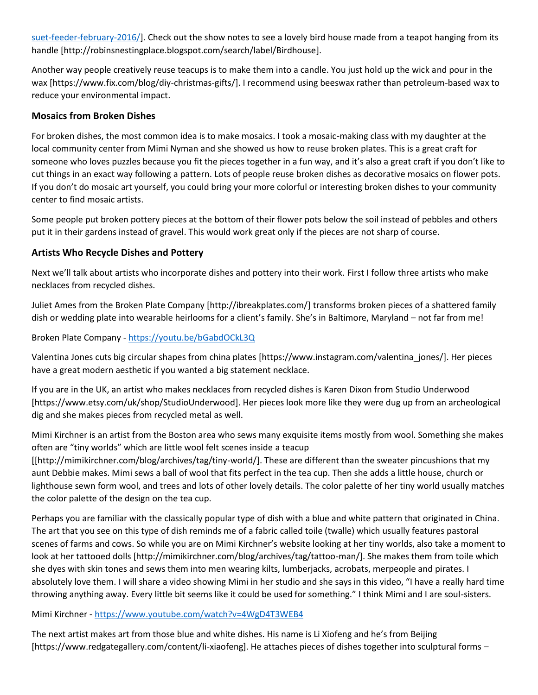suet-feeder-february-2016/]. Check out the show notes to see a lovely bird house made from a teapot hanging from its handle [http://robinsnestingplace.blogspot.com/search/label/Birdhouse].

Another way people creatively reuse teacups is to make them into a candle. You just hold up the wick and pour in the wax [https://www.fix.com/blog/diy-christmas-gifts/]. I recommend using beeswax rather than petroleum-based wax to reduce your environmental impact.

#### **Mosaics from Broken Dishes**

For broken dishes, the most common idea is to make mosaics. I took a mosaic-making class with my daughter at the local community center from Mimi Nyman and she showed us how to reuse broken plates. This is a great craft for someone who loves puzzles because you fit the pieces together in a fun way, and it's also a great craft if you don't like to cut things in an exact way following a pattern. Lots of people reuse broken dishes as decorative mosaics on flower pots. If you don't do mosaic art yourself, you could bring your more colorful or interesting broken dishes to your community center to find mosaic artists.

Some people put broken pottery pieces at the bottom of their flower pots below the soil instead of pebbles and others put it in their gardens instead of gravel. This would work great only if the pieces are not sharp of course.

#### **Artists Who Recycle Dishes and Pottery**

Next we'll talk about artists who incorporate dishes and pottery into their work. First I follow three artists who make necklaces from recycled dishes.

Juliet Ames from the Broken Plate Company [http://ibreakplates.com/] transforms broken pieces of a shattered family dish or wedding plate into wearable heirlooms for a client's family. She's in Baltimore, Maryland – not far from me!

Broken Plate Company - https://youtu.be/bGabdOCkL3Q

Valentina Jones cuts big circular shapes from china plates [https://www.instagram.com/valentina\_jones/]. Her pieces have a great modern aesthetic if you wanted a big statement necklace.

If you are in the UK, an artist who makes necklaces from recycled dishes is Karen Dixon from Studio Underwood [https://www.etsy.com/uk/shop/StudioUnderwood]. Her pieces look more like they were dug up from an archeological dig and she makes pieces from recycled metal as well.

Mimi Kirchner is an artist from the Boston area who sews many exquisite items mostly from wool. Something she makes often are "tiny worlds" which are little wool felt scenes inside a teacup [[http://mimikirchner.com/blog/archives/tag/tiny-world/]. These are different than the sweater pincushions that my aunt Debbie makes. Mimi sews a ball of wool that fits perfect in the tea cup. Then she adds a little house, church or lighthouse sewn form wool, and trees and lots of other lovely details. The color palette of her tiny world usually matches the color palette of the design on the tea cup.

Perhaps you are familiar with the classically popular type of dish with a blue and white pattern that originated in China. The art that you see on this type of dish reminds me of a fabric called toile (twalle) which usually features pastoral scenes of farms and cows. So while you are on Mimi Kirchner's website looking at her tiny worlds, also take a moment to look at her tattooed dolls [http://mimikirchner.com/blog/archives/tag/tattoo-man/]. She makes them from toile which she dyes with skin tones and sews them into men wearing kilts, lumberjacks, acrobats, merpeople and pirates. I absolutely love them. I will share a video showing Mimi in her studio and she says in this video, "I have a really hard time throwing anything away. Every little bit seems like it could be used for something." I think Mimi and I are soul-sisters.

#### Mimi Kirchner - https://www.youtube.com/watch?v=4WgD4T3WEB4

The next artist makes art from those blue and white dishes. His name is Li Xiofeng and he's from Beijing [https://www.redgategallery.com/content/li-xiaofeng]. He attaches pieces of dishes together into sculptural forms –